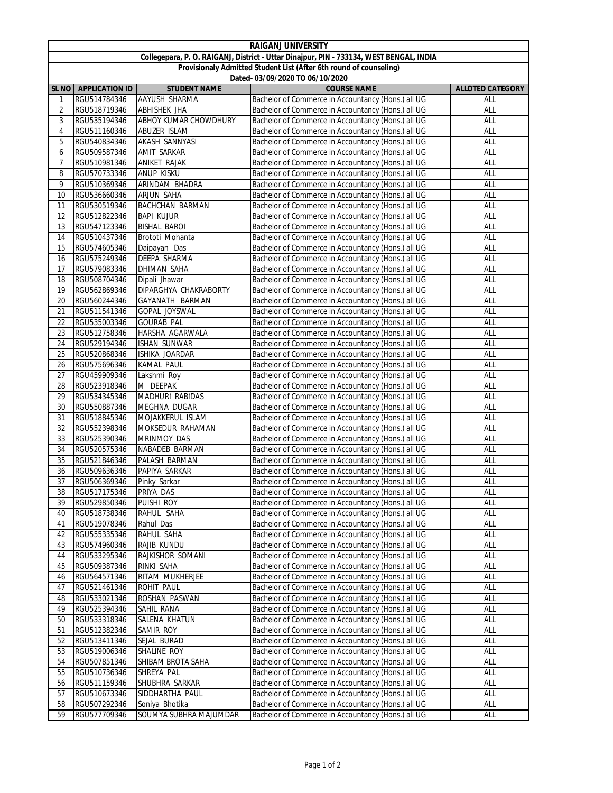| <b>RAIGANJ UNIVERSITY</b>                                                               |                        |                              |                                                    |                         |  |  |  |  |
|-----------------------------------------------------------------------------------------|------------------------|------------------------------|----------------------------------------------------|-------------------------|--|--|--|--|
| Collegepara, P. O. RAIGANJ, District - Uttar Dinajpur, PIN - 733134, WEST BENGAL, INDIA |                        |                              |                                                    |                         |  |  |  |  |
| Provisionaly Admitted Student List (After 6th round of counseling)                      |                        |                              |                                                    |                         |  |  |  |  |
| Dated- 03/09/2020 TO 06/10/2020                                                         |                        |                              |                                                    |                         |  |  |  |  |
|                                                                                         | SL NO   APPLICATION ID | <b>STUDENT NAME</b>          | <b>COURSE NAME</b>                                 | <b>ALLOTED CATEGORY</b> |  |  |  |  |
| 1                                                                                       | RGU514784346           | <b>AAYUSH SHARMA</b>         | Bachelor of Commerce in Accountancy (Hons.) all UG | ALL                     |  |  |  |  |
| 2                                                                                       | RGU518719346           | ABHISHEK JHA                 | Bachelor of Commerce in Accountancy (Hons.) all UG | ALL                     |  |  |  |  |
| 3                                                                                       | RGU535194346           | <b>ABHOY KUMAR CHOWDHURY</b> | Bachelor of Commerce in Accountancy (Hons.) all UG | ALL                     |  |  |  |  |
| 4                                                                                       | RGU511160346           | ABUZER ISLAM                 | Bachelor of Commerce in Accountancy (Hons.) all UG | ALL                     |  |  |  |  |
| 5                                                                                       | RGU540834346           | AKASH SANNYASI               | Bachelor of Commerce in Accountancy (Hons.) all UG | ALL                     |  |  |  |  |
| 6                                                                                       | RGU509587346           | <b>AMIT SARKAR</b>           | Bachelor of Commerce in Accountancy (Hons.) all UG | ALL                     |  |  |  |  |
| 7                                                                                       | RGU510981346           | <b>ANIKET RAJAK</b>          | Bachelor of Commerce in Accountancy (Hons.) all UG | ALL                     |  |  |  |  |
| 8                                                                                       | RGU570733346           | ANUP KISKU                   | Bachelor of Commerce in Accountancy (Hons.) all UG | ALL                     |  |  |  |  |
| 9                                                                                       | RGU510369346           | ARINDAM BHADRA               | Bachelor of Commerce in Accountancy (Hons.) all UG | ALL                     |  |  |  |  |
| 10                                                                                      | RGU536660346           | ARJUN SAHA                   | Bachelor of Commerce in Accountancy (Hons.) all UG | ALL                     |  |  |  |  |
| 11                                                                                      | RGU530519346           | <b>BACHCHAN BARMAN</b>       | Bachelor of Commerce in Accountancy (Hons.) all UG | ALL                     |  |  |  |  |
| 12                                                                                      | RGU512822346           | <b>BAPI KUJUR</b>            | Bachelor of Commerce in Accountancy (Hons.) all UG | ALL                     |  |  |  |  |
| 13                                                                                      | RGU547123346           | <b>BISHAL BAROI</b>          | Bachelor of Commerce in Accountancy (Hons.) all UG | ALL                     |  |  |  |  |
| 14                                                                                      | RGU510437346           | Brototi Mohanta              | Bachelor of Commerce in Accountancy (Hons.) all UG | ALL                     |  |  |  |  |
| 15                                                                                      | RGU574605346           | Daipayan Das                 | Bachelor of Commerce in Accountancy (Hons.) all UG | ALL                     |  |  |  |  |
| 16                                                                                      | RGU575249346           | DEEPA SHARMA                 | Bachelor of Commerce in Accountancy (Hons.) all UG | ALL                     |  |  |  |  |
| 17                                                                                      | RGU579083346           | DHIMAN SAHA                  | Bachelor of Commerce in Accountancy (Hons.) all UG | ALL                     |  |  |  |  |
| 18                                                                                      | RGU508704346           | Dipali Jhawar                | Bachelor of Commerce in Accountancy (Hons.) all UG | ALL                     |  |  |  |  |
| 19                                                                                      | RGU562869346           | DIPARGHYA CHAKRABORTY        | Bachelor of Commerce in Accountancy (Hons.) all UG | ALL                     |  |  |  |  |
| 20                                                                                      | RGU560244346           | GAYANATH BARMAN              | Bachelor of Commerce in Accountancy (Hons.) all UG | ALL                     |  |  |  |  |
| 21                                                                                      | RGU511541346           | GOPAL JOYSWAL                | Bachelor of Commerce in Accountancy (Hons.) all UG | ALL                     |  |  |  |  |
| 22                                                                                      | RGU535003346           | <b>GOURAB PAL</b>            | Bachelor of Commerce in Accountancy (Hons.) all UG | ALL                     |  |  |  |  |
| 23                                                                                      | RGU512758346           | HARSHA AGARWALA              | Bachelor of Commerce in Accountancy (Hons.) all UG | ALL                     |  |  |  |  |
| 24                                                                                      | RGU529194346           | <b>ISHAN SUNWAR</b>          | Bachelor of Commerce in Accountancy (Hons.) all UG | ALL                     |  |  |  |  |
| 25                                                                                      | RGU520868346           | ISHIKA JOARDAR               | Bachelor of Commerce in Accountancy (Hons.) all UG | ALL                     |  |  |  |  |
| 26                                                                                      | RGU575696346           | KAMAL PAUL                   | Bachelor of Commerce in Accountancy (Hons.) all UG | ALL                     |  |  |  |  |
| 27                                                                                      | RGU459909346           | Lakshmi Roy                  | Bachelor of Commerce in Accountancy (Hons.) all UG | ALL                     |  |  |  |  |
| 28                                                                                      | RGU523918346           | M DEEPAK                     | Bachelor of Commerce in Accountancy (Hons.) all UG | <b>ALL</b>              |  |  |  |  |
| 29                                                                                      | RGU534345346           | MADHURI RABIDAS              | Bachelor of Commerce in Accountancy (Hons.) all UG | ALL                     |  |  |  |  |
| 30                                                                                      | RGU550887346           | MEGHNA DUGAR                 | Bachelor of Commerce in Accountancy (Hons.) all UG | ALL                     |  |  |  |  |
| 31                                                                                      | RGU518845346           | MOJAKKERUL ISLAM             | Bachelor of Commerce in Accountancy (Hons.) all UG | ALL                     |  |  |  |  |
| 32                                                                                      | RGU552398346           | MOKSEDUR RAHAMAN             | Bachelor of Commerce in Accountancy (Hons.) all UG | ALL                     |  |  |  |  |
| 33                                                                                      | RGU525390346           | MRINMOY DAS                  | Bachelor of Commerce in Accountancy (Hons.) all UG | ALL                     |  |  |  |  |
| 34                                                                                      | RGU520575346           | NABADEB BARMAN               | Bachelor of Commerce in Accountancy (Hons.) all UG | ALL                     |  |  |  |  |
| 35                                                                                      | RGU521846346           | PALASH BARMAN                | Bachelor of Commerce in Accountancy (Hons.) all UG | ALL                     |  |  |  |  |
| 36                                                                                      | RGU509636346           | PAPIYA SARKAR                | Bachelor of Commerce in Accountancy (Hons.) all UG | ALL                     |  |  |  |  |
| 37                                                                                      | RGU506369346           | Pinky Sarkar                 | Bachelor of Commerce in Accountancy (Hons.) all UG | ALL                     |  |  |  |  |
| 38                                                                                      | RGU517175346           | PRIYA DAS                    | Bachelor of Commerce in Accountancy (Hons.) all UG | <b>ALL</b>              |  |  |  |  |
| 39                                                                                      | RGU529850346           | PUISHI ROY                   | Bachelor of Commerce in Accountancy (Hons.) all UG | ALL                     |  |  |  |  |
| 40                                                                                      | RGU518738346           | RAHUL SAHA                   | Bachelor of Commerce in Accountancy (Hons.) all UG | ALL                     |  |  |  |  |
| 41                                                                                      | RGU519078346           | Rahul Das                    | Bachelor of Commerce in Accountancy (Hons.) all UG | ALL                     |  |  |  |  |
| 42                                                                                      | RGU555335346           | RAHUL SAHA                   | Bachelor of Commerce in Accountancy (Hons.) all UG | ALL                     |  |  |  |  |
| 43                                                                                      | RGU574960346           | RAJIB KUNDU                  | Bachelor of Commerce in Accountancy (Hons.) all UG | ALL                     |  |  |  |  |
| 44                                                                                      | RGU533295346           | RAJKISHOR SOMANI             | Bachelor of Commerce in Accountancy (Hons.) all UG | ALL                     |  |  |  |  |
| 45                                                                                      | RGU509387346           | RINKI SAHA                   | Bachelor of Commerce in Accountancy (Hons.) all UG | ALL                     |  |  |  |  |
| 46                                                                                      | RGU564571346           | RITAM MUKHERJEE              | Bachelor of Commerce in Accountancy (Hons.) all UG | ALL                     |  |  |  |  |
| 47                                                                                      | RGU521461346           | ROHIT PAUL                   | Bachelor of Commerce in Accountancy (Hons.) all UG | all                     |  |  |  |  |
| 48                                                                                      | RGU533021346           | ROSHAN PASWAN                | Bachelor of Commerce in Accountancy (Hons.) all UG | ALL                     |  |  |  |  |
| 49                                                                                      | RGU525394346           | SAHIL RANA                   | Bachelor of Commerce in Accountancy (Hons.) all UG | ALL                     |  |  |  |  |
| 50                                                                                      | RGU533318346           | SALENA KHATUN                | Bachelor of Commerce in Accountancy (Hons.) all UG | ALL                     |  |  |  |  |
| 51                                                                                      | RGU512382346           | SAMIR ROY                    | Bachelor of Commerce in Accountancy (Hons.) all UG | ALL                     |  |  |  |  |
| 52                                                                                      | RGU513411346           | SEJAL BURAD                  | Bachelor of Commerce in Accountancy (Hons.) all UG | ALL                     |  |  |  |  |
| 53                                                                                      | RGU519006346           | SHALINE ROY                  | Bachelor of Commerce in Accountancy (Hons.) all UG | ALL                     |  |  |  |  |
| 54                                                                                      | RGU507851346           | SHIBAM BROTA SAHA            | Bachelor of Commerce in Accountancy (Hons.) all UG | ALL                     |  |  |  |  |
| 55                                                                                      | RGU510736346           | SHREYA PAL                   | Bachelor of Commerce in Accountancy (Hons.) all UG | ALL                     |  |  |  |  |
| 56                                                                                      | RGU511159346           | SHUBHRA SARKAR               | Bachelor of Commerce in Accountancy (Hons.) all UG | ALL                     |  |  |  |  |
| 57                                                                                      | RGU510673346           | SIDDHARTHA PAUL              | Bachelor of Commerce in Accountancy (Hons.) all UG | <b>ALL</b>              |  |  |  |  |
| 58                                                                                      | RGU507292346           | Soniya Bhotika               | Bachelor of Commerce in Accountancy (Hons.) all UG | ALL                     |  |  |  |  |
| 59                                                                                      | RGU577709346           | SOUMYA SUBHRA MAJUMDAR       | Bachelor of Commerce in Accountancy (Hons.) all UG | ALL                     |  |  |  |  |